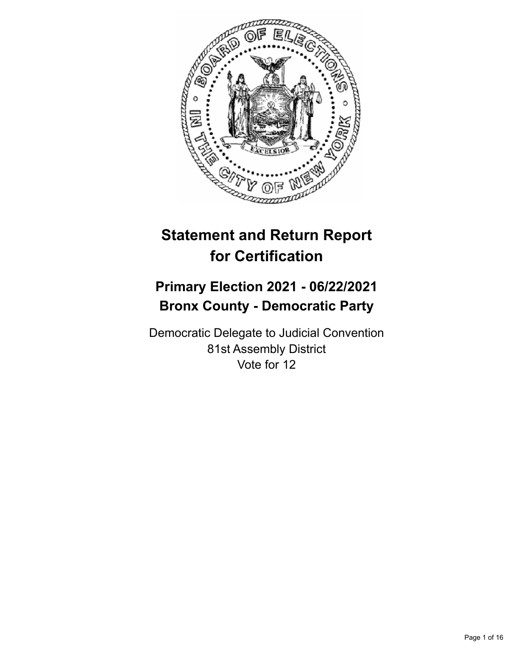

# **Statement and Return Report for Certification**

## **Primary Election 2021 - 06/22/2021 Bronx County - Democratic Party**

Democratic Delegate to Judicial Convention 81st Assembly District Vote for 12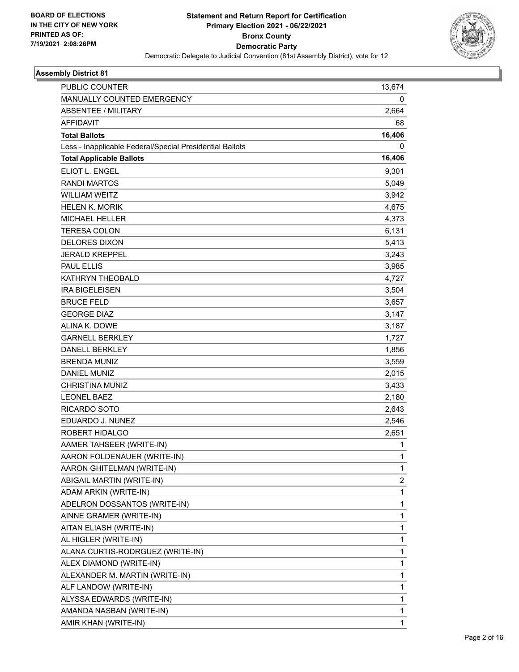

| <b>PUBLIC COUNTER</b>                                    | 13,674 |
|----------------------------------------------------------|--------|
| MANUALLY COUNTED EMERGENCY                               | 0      |
| <b>ABSENTEE / MILITARY</b>                               | 2,664  |
| <b>AFFIDAVIT</b>                                         | 68     |
| <b>Total Ballots</b>                                     | 16,406 |
| Less - Inapplicable Federal/Special Presidential Ballots | 0      |
| <b>Total Applicable Ballots</b>                          | 16,406 |
| ELIOT L. ENGEL                                           | 9,301  |
| <b>RANDI MARTOS</b>                                      | 5,049  |
| <b>WILLIAM WEITZ</b>                                     | 3,942  |
| <b>HELEN K. MORIK</b>                                    | 4,675  |
| <b>MICHAEL HELLER</b>                                    | 4,373  |
| <b>TERESA COLON</b>                                      | 6,131  |
| <b>DELORES DIXON</b>                                     | 5,413  |
| <b>JERALD KREPPEL</b>                                    | 3,243  |
| <b>PAUL ELLIS</b>                                        | 3,985  |
| <b>KATHRYN THEOBALD</b>                                  | 4,727  |
| <b>IRA BIGELEISEN</b>                                    | 3,504  |
| <b>BRUCE FELD</b>                                        | 3,657  |
| <b>GEORGE DIAZ</b>                                       | 3,147  |
| ALINA K. DOWE                                            | 3,187  |
| <b>GARNELL BERKLEY</b>                                   | 1,727  |
| <b>DANELL BERKLEY</b>                                    | 1,856  |
| <b>BRENDA MUNIZ</b>                                      | 3,559  |
| <b>DANIEL MUNIZ</b>                                      | 2,015  |
| <b>CHRISTINA MUNIZ</b>                                   | 3,433  |
| <b>LEONEL BAEZ</b>                                       | 2,180  |
| RICARDO SOTO                                             | 2,643  |
| EDUARDO J. NUNEZ                                         | 2,546  |
| ROBERT HIDALGO                                           | 2,651  |
| AAMER TAHSEER (WRITE-IN)                                 | 1      |
| AARON FOLDENAUER (WRITE-IN)                              | 1      |
| AARON GHITELMAN (WRITE-IN)                               | 1      |
| ABIGAIL MARTIN (WRITE-IN)                                | 2      |
| ADAM ARKIN (WRITE-IN)                                    | 1      |
| ADELRON DOSSANTOS (WRITE-IN)                             | 1      |
| AINNE GRAMER (WRITE-IN)                                  | 1      |
| AITAN ELIASH (WRITE-IN)                                  | 1      |
| AL HIGLER (WRITE-IN)                                     | 1      |
| ALANA CURTIS-RODRGUEZ (WRITE-IN)                         | 1      |
| ALEX DIAMOND (WRITE-IN)                                  | 1      |
| ALEXANDER M. MARTIN (WRITE-IN)                           | 1      |
| ALF LANDOW (WRITE-IN)                                    | 1      |
| ALYSSA EDWARDS (WRITE-IN)                                | 1      |
| AMANDA NASBAN (WRITE-IN)                                 | 1      |
| AMIR KHAN (WRITE-IN)                                     | 1      |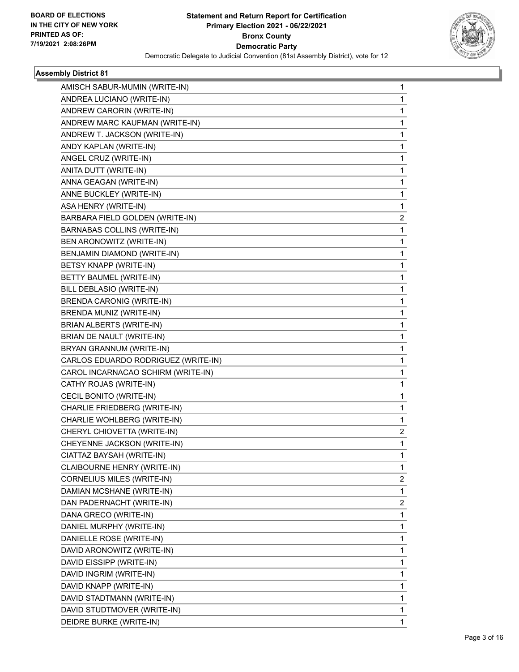

| AMISCH SABUR-MUMIN (WRITE-IN)       | 1                       |
|-------------------------------------|-------------------------|
| ANDREA LUCIANO (WRITE-IN)           | 1                       |
| ANDREW CARORIN (WRITE-IN)           | 1                       |
| ANDREW MARC KAUFMAN (WRITE-IN)      | 1                       |
| ANDREW T. JACKSON (WRITE-IN)        | 1                       |
| ANDY KAPLAN (WRITE-IN)              | 1                       |
| ANGEL CRUZ (WRITE-IN)               | 1                       |
| ANITA DUTT (WRITE-IN)               | 1                       |
| ANNA GEAGAN (WRITE-IN)              | 1                       |
| ANNE BUCKLEY (WRITE-IN)             | 1                       |
| ASA HENRY (WRITE-IN)                | 1                       |
| BARBARA FIELD GOLDEN (WRITE-IN)     | $\overline{\mathbf{c}}$ |
| <b>BARNABAS COLLINS (WRITE-IN)</b>  | 1                       |
| BEN ARONOWITZ (WRITE-IN)            | 1                       |
| BENJAMIN DIAMOND (WRITE-IN)         | 1                       |
| BETSY KNAPP (WRITE-IN)              | 1                       |
| BETTY BAUMEL (WRITE-IN)             | 1                       |
| BILL DEBLASIO (WRITE-IN)            | 1                       |
| <b>BRENDA CARONIG (WRITE-IN)</b>    | 1                       |
| BRENDA MUNIZ (WRITE-IN)             | 1                       |
| BRIAN ALBERTS (WRITE-IN)            | 1                       |
| BRIAN DE NAULT (WRITE-IN)           | 1                       |
| BRYAN GRANNUM (WRITE-IN)            | 1                       |
| CARLOS EDUARDO RODRIGUEZ (WRITE-IN) | 1                       |
| CAROL INCARNACAO SCHIRM (WRITE-IN)  | 1                       |
| CATHY ROJAS (WRITE-IN)              | 1                       |
| CECIL BONITO (WRITE-IN)             | 1                       |
| CHARLIE FRIEDBERG (WRITE-IN)        | 1                       |
| CHARLIE WOHLBERG (WRITE-IN)         | 1                       |
| CHERYL CHIOVETTA (WRITE-IN)         | $\overline{\mathbf{c}}$ |
| CHEYENNE JACKSON (WRITE-IN)         | 1                       |
| CIATTAZ BAYSAH (WRITE-IN)           | 1                       |
| CLAIBOURNE HENRY (WRITE-IN)         | $\mathbf{1}$            |
| CORNELIUS MILES (WRITE-IN)          | $\overline{2}$          |
| DAMIAN MCSHANE (WRITE-IN)           | 1                       |
| DAN PADERNACHT (WRITE-IN)           | $\overline{c}$          |
| DANA GRECO (WRITE-IN)               | $\mathbf{1}$            |
| DANIEL MURPHY (WRITE-IN)            | 1                       |
| DANIELLE ROSE (WRITE-IN)            | 1                       |
| DAVID ARONOWITZ (WRITE-IN)          | 1                       |
| DAVID EISSIPP (WRITE-IN)            | 1                       |
| DAVID INGRIM (WRITE-IN)             | 1                       |
| DAVID KNAPP (WRITE-IN)              | 1                       |
| DAVID STADTMANN (WRITE-IN)          | 1                       |
| DAVID STUDTMOVER (WRITE-IN)         | 1                       |
| DEIDRE BURKE (WRITE-IN)             | 1                       |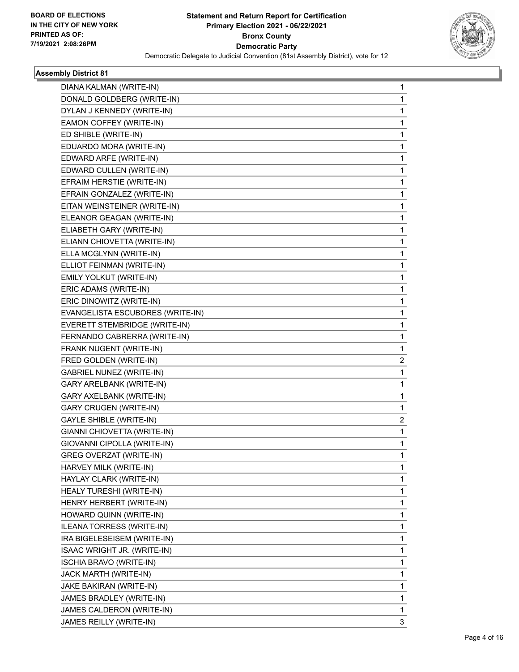

| DIANA KALMAN (WRITE-IN)          | 1            |
|----------------------------------|--------------|
| DONALD GOLDBERG (WRITE-IN)       | 1            |
| DYLAN J KENNEDY (WRITE-IN)       | 1            |
| EAMON COFFEY (WRITE-IN)          | $\mathbf{1}$ |
| ED SHIBLE (WRITE-IN)             | 1            |
| EDUARDO MORA (WRITE-IN)          | 1            |
| EDWARD ARFE (WRITE-IN)           | $\mathbf{1}$ |
| EDWARD CULLEN (WRITE-IN)         | 1            |
| EFRAIM HERSTIE (WRITE-IN)        | 1            |
| EFRAIN GONZALEZ (WRITE-IN)       | $\mathbf{1}$ |
| EITAN WEINSTEINER (WRITE-IN)     | 1            |
| ELEANOR GEAGAN (WRITE-IN)        | 1            |
| ELIABETH GARY (WRITE-IN)         | $\mathbf{1}$ |
| ELIANN CHIOVETTA (WRITE-IN)      | 1            |
| ELLA MCGLYNN (WRITE-IN)          | 1            |
| ELLIOT FEINMAN (WRITE-IN)        | $\mathbf{1}$ |
| EMILY YOLKUT (WRITE-IN)          | 1            |
| ERIC ADAMS (WRITE-IN)            | 1            |
| ERIC DINOWITZ (WRITE-IN)         | $\mathbf{1}$ |
| EVANGELISTA ESCUBORES (WRITE-IN) | 1            |
| EVERETT STEMBRIDGE (WRITE-IN)    | 1            |
| FERNANDO CABRERRA (WRITE-IN)     | $\mathbf{1}$ |
| FRANK NUGENT (WRITE-IN)          | 1            |
| FRED GOLDEN (WRITE-IN)           | 2            |
| <b>GABRIEL NUNEZ (WRITE-IN)</b>  | $\mathbf{1}$ |
| GARY ARELBANK (WRITE-IN)         | 1            |
| GARY AXELBANK (WRITE-IN)         | 1            |
| <b>GARY CRUGEN (WRITE-IN)</b>    | $\mathbf{1}$ |
| <b>GAYLE SHIBLE (WRITE-IN)</b>   | 2            |
| GIANNI CHIOVETTA (WRITE-IN)      | 1            |
| GIOVANNI CIPOLLA (WRITE-IN)      | $\mathbf{1}$ |
| GREG OVERZAT (WRITE-IN)          | 1            |
| HARVEY MILK (WRITE-IN)           | 1            |
| HAYLAY CLARK (WRITE-IN)          | $\mathbf{1}$ |
| HEALY TURESHI (WRITE-IN)         | $\mathbf{1}$ |
| HENRY HERBERT (WRITE-IN)         | 1            |
| HOWARD QUINN (WRITE-IN)          | $\mathbf{1}$ |
| ILEANA TORRESS (WRITE-IN)        | 1            |
| IRA BIGELESEISEM (WRITE-IN)      | 1            |
| ISAAC WRIGHT JR. (WRITE-IN)      | $\mathbf{1}$ |
| ISCHIA BRAVO (WRITE-IN)          | $\mathbf{1}$ |
| JACK MARTH (WRITE-IN)            | 1            |
| JAKE BAKIRAN (WRITE-IN)          | $\mathbf{1}$ |
| JAMES BRADLEY (WRITE-IN)         | 1            |
| JAMES CALDERON (WRITE-IN)        | 1            |
| JAMES REILLY (WRITE-IN)          | 3            |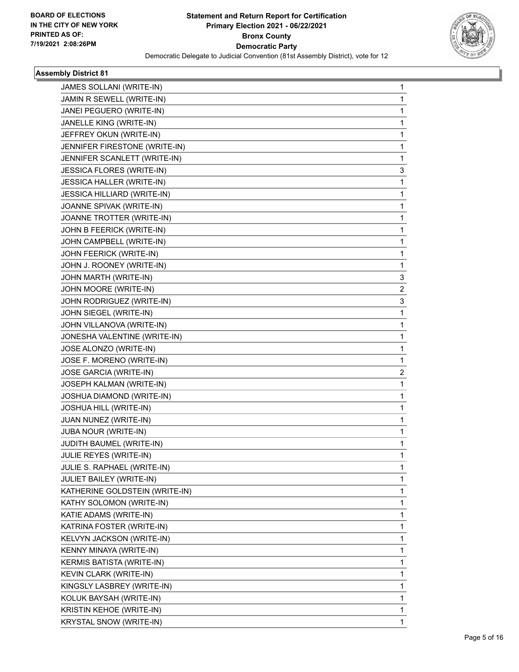

| JAMES SOLLANI (WRITE-IN)           | 1                       |
|------------------------------------|-------------------------|
| JAMIN R SEWELL (WRITE-IN)          | 1                       |
| JANEI PEGUERO (WRITE-IN)           | 1                       |
| JANELLE KING (WRITE-IN)            | 1                       |
| JEFFREY OKUN (WRITE-IN)            | 1                       |
| JENNIFER FIRESTONE (WRITE-IN)      | 1                       |
| JENNIFER SCANLETT (WRITE-IN)       | 1                       |
| <b>JESSICA FLORES (WRITE-IN)</b>   | 3                       |
| JESSICA HALLER (WRITE-IN)          | 1                       |
| <b>JESSICA HILLIARD (WRITE-IN)</b> | 1                       |
| JOANNE SPIVAK (WRITE-IN)           | 1                       |
| JOANNE TROTTER (WRITE-IN)          | 1                       |
| JOHN B FEERICK (WRITE-IN)          | 1                       |
| JOHN CAMPBELL (WRITE-IN)           | 1                       |
| JOHN FEERICK (WRITE-IN)            | 1                       |
| JOHN J. ROONEY (WRITE-IN)          | 1                       |
| JOHN MARTH (WRITE-IN)              | 3                       |
| JOHN MOORE (WRITE-IN)              | $\overline{\mathbf{c}}$ |
| JOHN RODRIGUEZ (WRITE-IN)          | 3                       |
| JOHN SIEGEL (WRITE-IN)             | 1                       |
| JOHN VILLANOVA (WRITE-IN)          | 1                       |
| JONESHA VALENTINE (WRITE-IN)       | 1                       |
| JOSE ALONZO (WRITE-IN)             | 1                       |
| JOSE F. MORENO (WRITE-IN)          | 1                       |
| JOSE GARCIA (WRITE-IN)             | $\overline{c}$          |
| JOSEPH KALMAN (WRITE-IN)           | 1                       |
| JOSHUA DIAMOND (WRITE-IN)          | 1                       |
| JOSHUA HILL (WRITE-IN)             | 1                       |
| JUAN NUNEZ (WRITE-IN)              | 1                       |
| JUBA NOUR (WRITE-IN)               | 1                       |
| JUDITH BAUMEL (WRITE-IN)           | 1                       |
| <b>JULIE REYES (WRITE-IN)</b>      | 1                       |
| JULIE S. RAPHAEL (WRITE-IN)        | 1                       |
| JULIET BAILEY (WRITE-IN)           | 1                       |
| KATHERINE GOLDSTEIN (WRITE-IN)     | 1                       |
| KATHY SOLOMON (WRITE-IN)           | $\mathbf 1$             |
| KATIE ADAMS (WRITE-IN)             | 1                       |
| KATRINA FOSTER (WRITE-IN)          | 1                       |
| KELVYN JACKSON (WRITE-IN)          | $\mathbf{1}$            |
| KENNY MINAYA (WRITE-IN)            | $\mathbf{1}$            |
| KERMIS BATISTA (WRITE-IN)          | 1                       |
| KEVIN CLARK (WRITE-IN)             | $\mathbf 1$             |
| KINGSLY LASBREY (WRITE-IN)         | 1                       |
| KOLUK BAYSAH (WRITE-IN)            | 1                       |
| KRISTIN KEHOE (WRITE-IN)           | 1                       |
| <b>KRYSTAL SNOW (WRITE-IN)</b>     | $\mathbf{1}$            |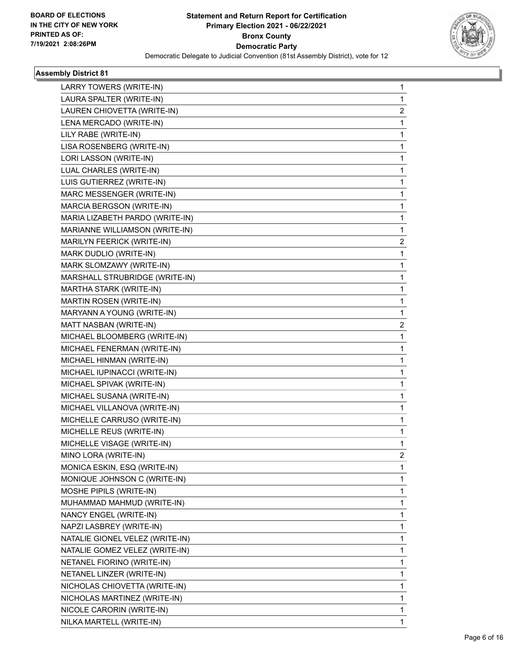

| LARRY TOWERS (WRITE-IN)         | 1                       |
|---------------------------------|-------------------------|
| LAURA SPALTER (WRITE-IN)        | $\mathbf{1}$            |
| LAUREN CHIOVETTA (WRITE-IN)     | 2                       |
| LENA MERCADO (WRITE-IN)         | $\mathbf{1}$            |
| LILY RABE (WRITE-IN)            | 1                       |
| LISA ROSENBERG (WRITE-IN)       | 1                       |
| LORI LASSON (WRITE-IN)          | $\mathbf{1}$            |
| LUAL CHARLES (WRITE-IN)         | 1                       |
| LUIS GUTIERREZ (WRITE-IN)       | 1                       |
| MARC MESSENGER (WRITE-IN)       | $\mathbf{1}$            |
| MARCIA BERGSON (WRITE-IN)       | 1                       |
| MARIA LIZABETH PARDO (WRITE-IN) | 1                       |
| MARIANNE WILLIAMSON (WRITE-IN)  | $\mathbf{1}$            |
| MARILYN FEERICK (WRITE-IN)      | $\overline{\mathbf{c}}$ |
| MARK DUDLIO (WRITE-IN)          | 1                       |
| MARK SLOMZAWY (WRITE-IN)        | $\mathbf{1}$            |
| MARSHALL STRUBRIDGE (WRITE-IN)  | 1                       |
| MARTHA STARK (WRITE-IN)         | 1                       |
| MARTIN ROSEN (WRITE-IN)         | $\mathbf{1}$            |
| MARYANN A YOUNG (WRITE-IN)      | 1                       |
| MATT NASBAN (WRITE-IN)          | 2                       |
| MICHAEL BLOOMBERG (WRITE-IN)    | $\mathbf{1}$            |
| MICHAEL FENERMAN (WRITE-IN)     | 1                       |
| MICHAEL HINMAN (WRITE-IN)       | 1                       |
| MICHAEL IUPINACCI (WRITE-IN)    | $\mathbf{1}$            |
| MICHAEL SPIVAK (WRITE-IN)       | 1                       |
| MICHAEL SUSANA (WRITE-IN)       | 1                       |
| MICHAEL VILLANOVA (WRITE-IN)    | $\mathbf{1}$            |
| MICHELLE CARRUSO (WRITE-IN)     | 1                       |
| MICHELLE REUS (WRITE-IN)        | 1                       |
| MICHELLE VISAGE (WRITE-IN)      | $\mathbf{1}$            |
| MINO LORA (WRITE-IN)            | 2                       |
| MONICA ESKIN, ESQ (WRITE-IN)    | 1                       |
| MONIQUE JOHNSON C (WRITE-IN)    | $\mathbf{1}$            |
| MOSHE PIPILS (WRITE-IN)         | $\mathbf{1}$            |
| MUHAMMAD MAHMUD (WRITE-IN)      | 1                       |
| NANCY ENGEL (WRITE-IN)          | $\mathbf{1}$            |
| NAPZI LASBREY (WRITE-IN)        | 1                       |
| NATALIE GIONEL VELEZ (WRITE-IN) | 1                       |
| NATALIE GOMEZ VELEZ (WRITE-IN)  | $\mathbf{1}$            |
| NETANEL FIORINO (WRITE-IN)      | $\mathbf{1}$            |
| NETANEL LINZER (WRITE-IN)       | 1                       |
| NICHOLAS CHIOVETTA (WRITE-IN)   | $\mathbf{1}$            |
| NICHOLAS MARTINEZ (WRITE-IN)    | 1                       |
| NICOLE CARORIN (WRITE-IN)       | 1                       |
| NILKA MARTELL (WRITE-IN)        | 1                       |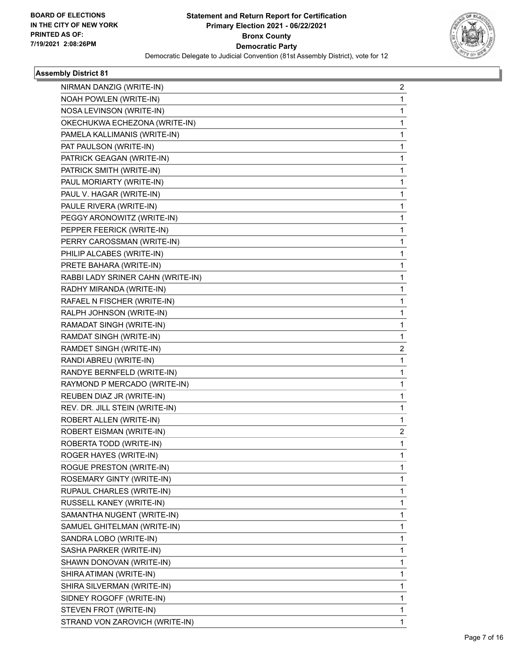

| NIRMAN DANZIG (WRITE-IN)          | 2              |
|-----------------------------------|----------------|
| NOAH POWLEN (WRITE-IN)            | 1              |
| NOSA LEVINSON (WRITE-IN)          | 1              |
| OKECHUKWA ECHEZONA (WRITE-IN)     | 1              |
| PAMELA KALLIMANIS (WRITE-IN)      | 1              |
| PAT PAULSON (WRITE-IN)            | 1              |
| PATRICK GEAGAN (WRITE-IN)         | 1              |
| PATRICK SMITH (WRITE-IN)          | 1              |
| PAUL MORIARTY (WRITE-IN)          | 1              |
| PAUL V. HAGAR (WRITE-IN)          | 1              |
| PAULE RIVERA (WRITE-IN)           | 1              |
| PEGGY ARONOWITZ (WRITE-IN)        | 1              |
| PEPPER FEERICK (WRITE-IN)         | 1              |
| PERRY CAROSSMAN (WRITE-IN)        | 1              |
| PHILIP ALCABES (WRITE-IN)         | 1              |
| PRETE BAHARA (WRITE-IN)           | 1              |
| RABBI LADY SRINER CAHN (WRITE-IN) | 1              |
| RADHY MIRANDA (WRITE-IN)          | 1              |
| RAFAEL N FISCHER (WRITE-IN)       | 1              |
| RALPH JOHNSON (WRITE-IN)          | 1              |
| RAMADAT SINGH (WRITE-IN)          | 1              |
| RAMDAT SINGH (WRITE-IN)           | 1              |
| RAMDET SINGH (WRITE-IN)           | $\overline{c}$ |
| RANDI ABREU (WRITE-IN)            | 1              |
| RANDYE BERNFELD (WRITE-IN)        | 1              |
| RAYMOND P MERCADO (WRITE-IN)      | 1              |
| REUBEN DIAZ JR (WRITE-IN)         | 1              |
| REV. DR. JILL STEIN (WRITE-IN)    | 1              |
| ROBERT ALLEN (WRITE-IN)           | 1              |
| ROBERT EISMAN (WRITE-IN)          | $\overline{c}$ |
| ROBERTA TODD (WRITE-IN)           | 1              |
| ROGER HAYES (WRITE-IN)            | 1              |
| ROGUE PRESTON (WRITE-IN)          | 1              |
| ROSEMARY GINTY (WRITE-IN)         | 1              |
| RUPAUL CHARLES (WRITE-IN)         | 1              |
| RUSSELL KANEY (WRITE-IN)          | 1              |
| SAMANTHA NUGENT (WRITE-IN)        | 1              |
| SAMUEL GHITELMAN (WRITE-IN)       | 1              |
| SANDRA LOBO (WRITE-IN)            | 1              |
| SASHA PARKER (WRITE-IN)           | 1              |
| SHAWN DONOVAN (WRITE-IN)          | 1              |
| SHIRA ATIMAN (WRITE-IN)           | 1              |
| SHIRA SILVERMAN (WRITE-IN)        | 1              |
| SIDNEY ROGOFF (WRITE-IN)          | 1              |
| STEVEN FROT (WRITE-IN)            | 1              |
| STRAND VON ZAROVICH (WRITE-IN)    | 1              |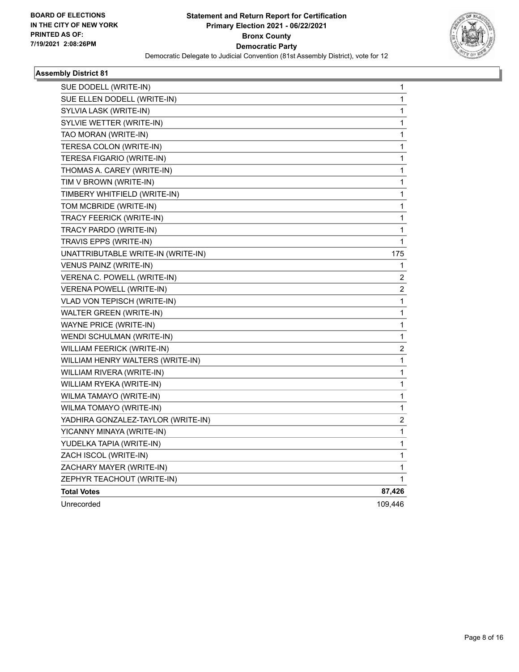

| SUE DODELL (WRITE-IN)              | 1                       |
|------------------------------------|-------------------------|
| SUE ELLEN DODELL (WRITE-IN)        | 1                       |
| SYLVIA LASK (WRITE-IN)             | $\mathbf{1}$            |
| SYLVIE WETTER (WRITE-IN)           | 1                       |
| TAO MORAN (WRITE-IN)               | 1                       |
| TERESA COLON (WRITE-IN)            | 1                       |
| TERESA FIGARIO (WRITE-IN)          | $\mathbf 1$             |
| THOMAS A. CAREY (WRITE-IN)         | $\mathbf 1$             |
| TIM V BROWN (WRITE-IN)             | 1                       |
| TIMBERY WHITFIELD (WRITE-IN)       | $\mathbf{1}$            |
| TOM MCBRIDE (WRITE-IN)             | 1                       |
| TRACY FEERICK (WRITE-IN)           | $\mathbf{1}$            |
| TRACY PARDO (WRITE-IN)             | 1                       |
| TRAVIS EPPS (WRITE-IN)             | 1                       |
| UNATTRIBUTABLE WRITE-IN (WRITE-IN) | 175                     |
| VENUS PAINZ (WRITE-IN)             | 1                       |
| VERENA C. POWELL (WRITE-IN)        | 2                       |
| <b>VERENA POWELL (WRITE-IN)</b>    | $\overline{\mathbf{c}}$ |
| VLAD VON TEPISCH (WRITE-IN)        | $\mathbf{1}$            |
| <b>WALTER GREEN (WRITE-IN)</b>     | 1                       |
| WAYNE PRICE (WRITE-IN)             | 1                       |
| WENDI SCHULMAN (WRITE-IN)          | $\mathbf{1}$            |
| WILLIAM FEERICK (WRITE-IN)         | $\overline{\mathbf{c}}$ |
| WILLIAM HENRY WALTERS (WRITE-IN)   | 1                       |
| WILLIAM RIVERA (WRITE-IN)          | 1                       |
| WILLIAM RYEKA (WRITE-IN)           | 1                       |
| WILMA TAMAYO (WRITE-IN)            | $\mathbf{1}$            |
| WILMA TOMAYO (WRITE-IN)            | 1                       |
| YADHIRA GONZALEZ-TAYLOR (WRITE-IN) | $\overline{\mathbf{c}}$ |
| YICANNY MINAYA (WRITE-IN)          | 1                       |
| YUDELKA TAPIA (WRITE-IN)           | 1                       |
| ZACH ISCOL (WRITE-IN)              | 1                       |
| ZACHARY MAYER (WRITE-IN)           | 1                       |
| ZEPHYR TEACHOUT (WRITE-IN)         | 1                       |
| <b>Total Votes</b>                 | 87,426                  |
| Unrecorded                         | 109,446                 |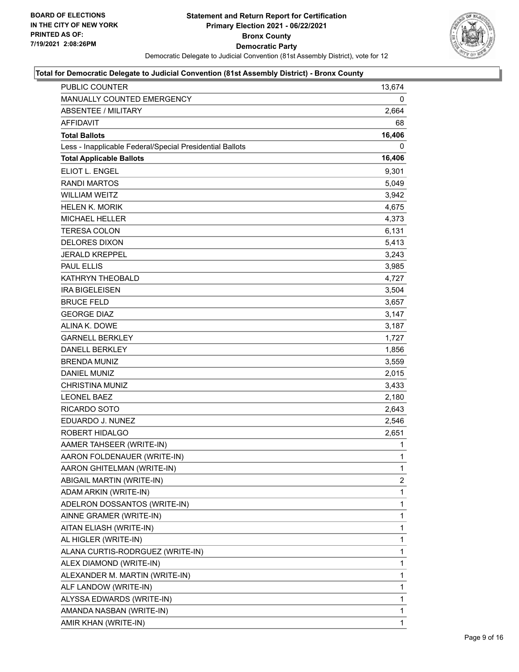

| PUBLIC COUNTER                                           | 13,674         |
|----------------------------------------------------------|----------------|
| MANUALLY COUNTED EMERGENCY                               | 0              |
| ABSENTEE / MILITARY                                      | 2,664          |
| <b>AFFIDAVIT</b>                                         | 68             |
| <b>Total Ballots</b>                                     | 16,406         |
| Less - Inapplicable Federal/Special Presidential Ballots | 0              |
| <b>Total Applicable Ballots</b>                          | 16,406         |
| ELIOT L. ENGEL                                           | 9,301          |
| <b>RANDI MARTOS</b>                                      | 5,049          |
| <b>WILLIAM WEITZ</b>                                     | 3,942          |
| <b>HELEN K. MORIK</b>                                    | 4,675          |
| MICHAEL HELLER                                           | 4,373          |
| <b>TERESA COLON</b>                                      | 6,131          |
| <b>DELORES DIXON</b>                                     | 5,413          |
| <b>JERALD KREPPEL</b>                                    | 3,243          |
| <b>PAUL ELLIS</b>                                        | 3,985          |
| KATHRYN THEOBALD                                         | 4,727          |
| <b>IRA BIGELEISEN</b>                                    | 3,504          |
| <b>BRUCE FELD</b>                                        | 3,657          |
| <b>GEORGE DIAZ</b>                                       | 3,147          |
| ALINA K. DOWE                                            | 3,187          |
| <b>GARNELL BERKLEY</b>                                   | 1,727          |
| <b>DANELL BERKLEY</b>                                    | 1,856          |
| <b>BRENDA MUNIZ</b>                                      | 3,559          |
| <b>DANIEL MUNIZ</b>                                      | 2,015          |
| <b>CHRISTINA MUNIZ</b>                                   | 3,433          |
| <b>LEONEL BAEZ</b>                                       | 2,180          |
| RICARDO SOTO                                             | 2,643          |
| EDUARDO J. NUNEZ                                         | 2,546          |
| ROBERT HIDALGO                                           | 2,651          |
| AAMER TAHSEER (WRITE-IN)                                 | 1              |
| AARON FOLDENAUER (WRITE-IN)                              | $\mathbf{1}$   |
| AARON GHITELMAN (WRITE-IN)                               | 1              |
| ABIGAIL MARTIN (WRITE-IN)                                | $\overline{2}$ |
| ADAM ARKIN (WRITE-IN)                                    | 1              |
| ADELRON DOSSANTOS (WRITE-IN)                             | 1              |
| AINNE GRAMER (WRITE-IN)                                  | 1              |
| AITAN ELIASH (WRITE-IN)                                  | 1              |
| AL HIGLER (WRITE-IN)                                     | 1              |
| ALANA CURTIS-RODRGUEZ (WRITE-IN)                         | 1              |
| ALEX DIAMOND (WRITE-IN)                                  | 1              |
| ALEXANDER M. MARTIN (WRITE-IN)                           | 1              |
| ALF LANDOW (WRITE-IN)                                    | 1              |
| ALYSSA EDWARDS (WRITE-IN)                                | 1              |
| AMANDA NASBAN (WRITE-IN)                                 | 1              |
| AMIR KHAN (WRITE-IN)                                     | 1              |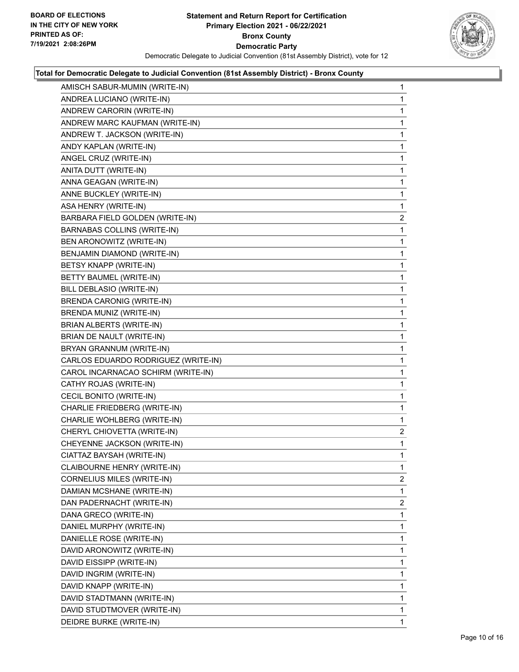

| AMISCH SABUR-MUMIN (WRITE-IN)       | 1              |
|-------------------------------------|----------------|
| ANDREA LUCIANO (WRITE-IN)           | 1              |
| ANDREW CARORIN (WRITE-IN)           | 1              |
| ANDREW MARC KAUFMAN (WRITE-IN)      | 1              |
| ANDREW T. JACKSON (WRITE-IN)        | 1              |
| ANDY KAPLAN (WRITE-IN)              | 1              |
| ANGEL CRUZ (WRITE-IN)               | 1              |
| ANITA DUTT (WRITE-IN)               | 1              |
| ANNA GEAGAN (WRITE-IN)              | 1              |
| ANNE BUCKLEY (WRITE-IN)             | 1              |
| ASA HENRY (WRITE-IN)                | 1              |
| BARBARA FIELD GOLDEN (WRITE-IN)     | $\overline{2}$ |
| <b>BARNABAS COLLINS (WRITE-IN)</b>  | 1              |
| BEN ARONOWITZ (WRITE-IN)            | 1              |
| BENJAMIN DIAMOND (WRITE-IN)         | 1              |
| BETSY KNAPP (WRITE-IN)              | 1              |
| BETTY BAUMEL (WRITE-IN)             | 1              |
| BILL DEBLASIO (WRITE-IN)            | 1              |
| <b>BRENDA CARONIG (WRITE-IN)</b>    | 1              |
| BRENDA MUNIZ (WRITE-IN)             | 1              |
| BRIAN ALBERTS (WRITE-IN)            | 1              |
| BRIAN DE NAULT (WRITE-IN)           | 1              |
| BRYAN GRANNUM (WRITE-IN)            | 1              |
| CARLOS EDUARDO RODRIGUEZ (WRITE-IN) | 1              |
| CAROL INCARNACAO SCHIRM (WRITE-IN)  | 1              |
| CATHY ROJAS (WRITE-IN)              | 1              |
| CECIL BONITO (WRITE-IN)             | 1              |
| CHARLIE FRIEDBERG (WRITE-IN)        | 1              |
| CHARLIE WOHLBERG (WRITE-IN)         | 1              |
| CHERYL CHIOVETTA (WRITE-IN)         | $\overline{2}$ |
| CHEYENNE JACKSON (WRITE-IN)         | 1              |
| CIATTAZ BAYSAH (WRITE-IN)           | 1              |
| CLAIBOURNE HENRY (WRITE-IN)         | 1              |
| CORNELIUS MILES (WRITE-IN)          | 2              |
| DAMIAN MCSHANE (WRITE-IN)           | 1              |
| DAN PADERNACHT (WRITE-IN)           | $\overline{2}$ |
| DANA GRECO (WRITE-IN)               | 1              |
| DANIEL MURPHY (WRITE-IN)            | 1              |
| DANIELLE ROSE (WRITE-IN)            | 1              |
| DAVID ARONOWITZ (WRITE-IN)          | 1              |
| DAVID EISSIPP (WRITE-IN)            | 1              |
| DAVID INGRIM (WRITE-IN)             | 1              |
| DAVID KNAPP (WRITE-IN)              | 1              |
| DAVID STADTMANN (WRITE-IN)          | 1              |
| DAVID STUDTMOVER (WRITE-IN)         | 1              |
| DEIDRE BURKE (WRITE-IN)             | 1              |
|                                     |                |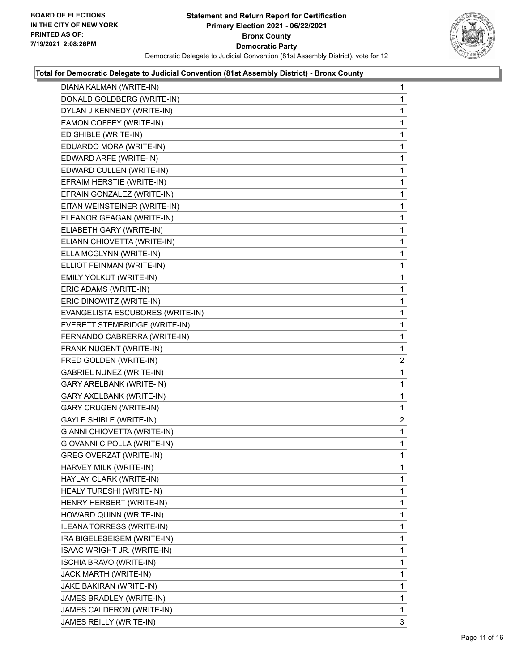

| DIANA KALMAN (WRITE-IN)          | $\mathbf{1}$   |
|----------------------------------|----------------|
| DONALD GOLDBERG (WRITE-IN)       | 1              |
| DYLAN J KENNEDY (WRITE-IN)       | 1              |
| EAMON COFFEY (WRITE-IN)          | 1              |
| ED SHIBLE (WRITE-IN)             | 1              |
| EDUARDO MORA (WRITE-IN)          | 1              |
| EDWARD ARFE (WRITE-IN)           | 1              |
| EDWARD CULLEN (WRITE-IN)         | 1              |
| EFRAIM HERSTIE (WRITE-IN)        | 1              |
| EFRAIN GONZALEZ (WRITE-IN)       | 1              |
| EITAN WEINSTEINER (WRITE-IN)     | 1              |
| ELEANOR GEAGAN (WRITE-IN)        | 1              |
| ELIABETH GARY (WRITE-IN)         | 1              |
| ELIANN CHIOVETTA (WRITE-IN)      | 1              |
| ELLA MCGLYNN (WRITE-IN)          | 1              |
| ELLIOT FEINMAN (WRITE-IN)        | 1              |
| EMILY YOLKUT (WRITE-IN)          | 1              |
| ERIC ADAMS (WRITE-IN)            | 1              |
| ERIC DINOWITZ (WRITE-IN)         | 1              |
| EVANGELISTA ESCUBORES (WRITE-IN) | 1              |
| EVERETT STEMBRIDGE (WRITE-IN)    | 1              |
| FERNANDO CABRERRA (WRITE-IN)     | 1              |
| FRANK NUGENT (WRITE-IN)          | 1              |
| FRED GOLDEN (WRITE-IN)           | 2              |
| <b>GABRIEL NUNEZ (WRITE-IN)</b>  | 1              |
| GARY ARELBANK (WRITE-IN)         | 1              |
| GARY AXELBANK (WRITE-IN)         | 1              |
| <b>GARY CRUGEN (WRITE-IN)</b>    | 1              |
| <b>GAYLE SHIBLE (WRITE-IN)</b>   | $\overline{c}$ |
| GIANNI CHIOVETTA (WRITE-IN)      | 1              |
| GIOVANNI CIPOLLA (WRITE-IN)      | 1              |
| <b>GREG OVERZAT (WRITE-IN)</b>   | 1              |
| HARVEY MILK (WRITE-IN)           | 1              |
| HAYLAY CLARK (WRITE-IN)          | 1              |
| HEALY TURESHI (WRITE-IN)         | 1              |
| HENRY HERBERT (WRITE-IN)         | 1              |
| HOWARD QUINN (WRITE-IN)          | 1              |
| ILEANA TORRESS (WRITE-IN)        | 1              |
| IRA BIGELESEISEM (WRITE-IN)      | 1              |
| ISAAC WRIGHT JR. (WRITE-IN)      | 1              |
| ISCHIA BRAVO (WRITE-IN)          | 1              |
| JACK MARTH (WRITE-IN)            | 1              |
| JAKE BAKIRAN (WRITE-IN)          | 1              |
| JAMES BRADLEY (WRITE-IN)         | 1              |
| JAMES CALDERON (WRITE-IN)        | 1              |
| JAMES REILLY (WRITE-IN)          | 3              |
|                                  |                |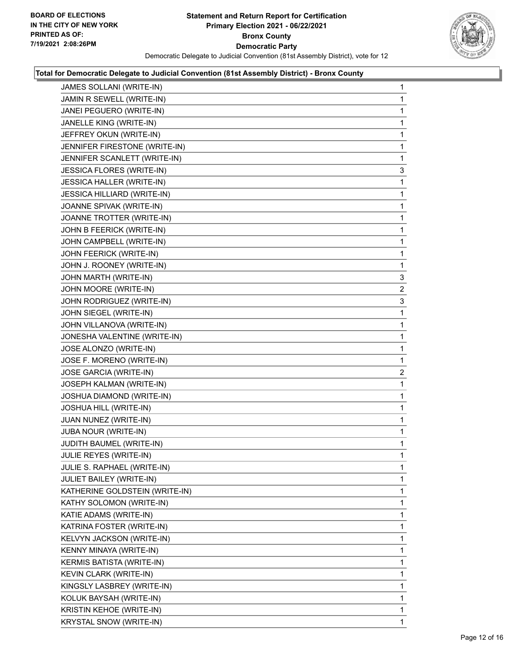

| JAMES SOLLANI (WRITE-IN)           | 1              |
|------------------------------------|----------------|
| JAMIN R SEWELL (WRITE-IN)          | 1              |
| JANEI PEGUERO (WRITE-IN)           | 1              |
| JANELLE KING (WRITE-IN)            | 1              |
| JEFFREY OKUN (WRITE-IN)            | 1              |
| JENNIFER FIRESTONE (WRITE-IN)      | 1              |
| JENNIFER SCANLETT (WRITE-IN)       | 1              |
| <b>JESSICA FLORES (WRITE-IN)</b>   | 3              |
| <b>JESSICA HALLER (WRITE-IN)</b>   | 1              |
| <b>JESSICA HILLIARD (WRITE-IN)</b> | 1              |
| JOANNE SPIVAK (WRITE-IN)           | 1              |
| JOANNE TROTTER (WRITE-IN)          | 1              |
| JOHN B FEERICK (WRITE-IN)          | 1              |
| JOHN CAMPBELL (WRITE-IN)           | 1              |
| JOHN FEERICK (WRITE-IN)            | 1              |
| JOHN J. ROONEY (WRITE-IN)          | 1              |
| JOHN MARTH (WRITE-IN)              | 3              |
| JOHN MOORE (WRITE-IN)              | $\overline{2}$ |
| JOHN RODRIGUEZ (WRITE-IN)          | 3              |
| JOHN SIEGEL (WRITE-IN)             | 1              |
| JOHN VILLANOVA (WRITE-IN)          | 1              |
| JONESHA VALENTINE (WRITE-IN)       | 1              |
| JOSE ALONZO (WRITE-IN)             | 1              |
| JOSE F. MORENO (WRITE-IN)          | 1              |
| JOSE GARCIA (WRITE-IN)             | $\overline{a}$ |
| JOSEPH KALMAN (WRITE-IN)           | 1              |
| JOSHUA DIAMOND (WRITE-IN)          | 1              |
| JOSHUA HILL (WRITE-IN)             | 1              |
| JUAN NUNEZ (WRITE-IN)              | 1              |
| JUBA NOUR (WRITE-IN)               | 1              |
| JUDITH BAUMEL (WRITE-IN)           | 1              |
| JULIE REYES (WRITE-IN)             | 1              |
| JULIE S. RAPHAEL (WRITE-IN)        | 1              |
| JULIET BAILEY (WRITE-IN)           | 1              |
| KATHERINE GOLDSTEIN (WRITE-IN)     | 1              |
| KATHY SOLOMON (WRITE-IN)           | 1              |
| KATIE ADAMS (WRITE-IN)             | 1              |
| KATRINA FOSTER (WRITE-IN)          | 1              |
| KELVYN JACKSON (WRITE-IN)          | 1              |
| KENNY MINAYA (WRITE-IN)            | 1              |
| KERMIS BATISTA (WRITE-IN)          | 1              |
| KEVIN CLARK (WRITE-IN)             | 1              |
| KINGSLY LASBREY (WRITE-IN)         | 1              |
| KOLUK BAYSAH (WRITE-IN)            | 1              |
| KRISTIN KEHOE (WRITE-IN)           | 1              |
| KRYSTAL SNOW (WRITE-IN)            | $\mathbf{1}$   |
|                                    |                |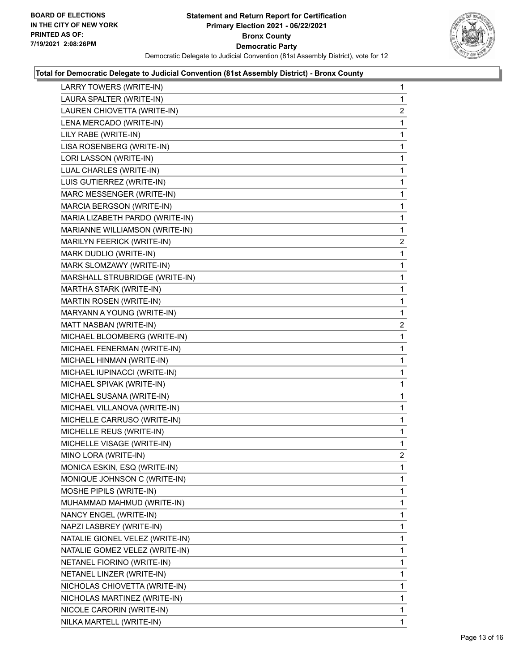

| LARRY TOWERS (WRITE-IN)         | $\mathbf{1}$   |
|---------------------------------|----------------|
| LAURA SPALTER (WRITE-IN)        | 1              |
| LAUREN CHIOVETTA (WRITE-IN)     | $\overline{2}$ |
| LENA MERCADO (WRITE-IN)         | 1              |
| LILY RABE (WRITE-IN)            | 1              |
| LISA ROSENBERG (WRITE-IN)       | 1              |
| LORI LASSON (WRITE-IN)          | 1              |
| LUAL CHARLES (WRITE-IN)         | 1              |
| LUIS GUTIERREZ (WRITE-IN)       | 1              |
| MARC MESSENGER (WRITE-IN)       | 1              |
| MARCIA BERGSON (WRITE-IN)       | 1              |
| MARIA LIZABETH PARDO (WRITE-IN) | 1              |
| MARIANNE WILLIAMSON (WRITE-IN)  | 1              |
| MARILYN FEERICK (WRITE-IN)      | 2              |
| MARK DUDLIO (WRITE-IN)          | 1              |
| MARK SLOMZAWY (WRITE-IN)        | 1              |
| MARSHALL STRUBRIDGE (WRITE-IN)  | 1              |
| MARTHA STARK (WRITE-IN)         | 1              |
| MARTIN ROSEN (WRITE-IN)         | 1              |
| MARYANN A YOUNG (WRITE-IN)      | 1              |
| MATT NASBAN (WRITE-IN)          | $\overline{2}$ |
| MICHAEL BLOOMBERG (WRITE-IN)    | 1              |
| MICHAEL FENERMAN (WRITE-IN)     | 1              |
| MICHAEL HINMAN (WRITE-IN)       | 1              |
| MICHAEL IUPINACCI (WRITE-IN)    | 1              |
| MICHAEL SPIVAK (WRITE-IN)       | 1              |
| MICHAEL SUSANA (WRITE-IN)       | 1              |
| MICHAEL VILLANOVA (WRITE-IN)    | 1              |
| MICHELLE CARRUSO (WRITE-IN)     | 1              |
| MICHELLE REUS (WRITE-IN)        | 1              |
| MICHELLE VISAGE (WRITE-IN)      | 1              |
| MINO LORA (WRITE-IN)            | $\overline{2}$ |
| MONICA ESKIN, ESQ (WRITE-IN)    | 1              |
| MONIQUE JOHNSON C (WRITE-IN)    | 1              |
| MOSHE PIPILS (WRITE-IN)         | 1              |
| MUHAMMAD MAHMUD (WRITE-IN)      | 1              |
| NANCY ENGEL (WRITE-IN)          | 1              |
| NAPZI LASBREY (WRITE-IN)        | 1              |
| NATALIE GIONEL VELEZ (WRITE-IN) | 1              |
| NATALIE GOMEZ VELEZ (WRITE-IN)  | 1              |
| NETANEL FIORINO (WRITE-IN)      | 1              |
| NETANEL LINZER (WRITE-IN)       | 1              |
| NICHOLAS CHIOVETTA (WRITE-IN)   | 1              |
| NICHOLAS MARTINEZ (WRITE-IN)    | 1              |
| NICOLE CARORIN (WRITE-IN)       | 1              |
| NILKA MARTELL (WRITE-IN)        | $\mathbf{1}$   |
|                                 |                |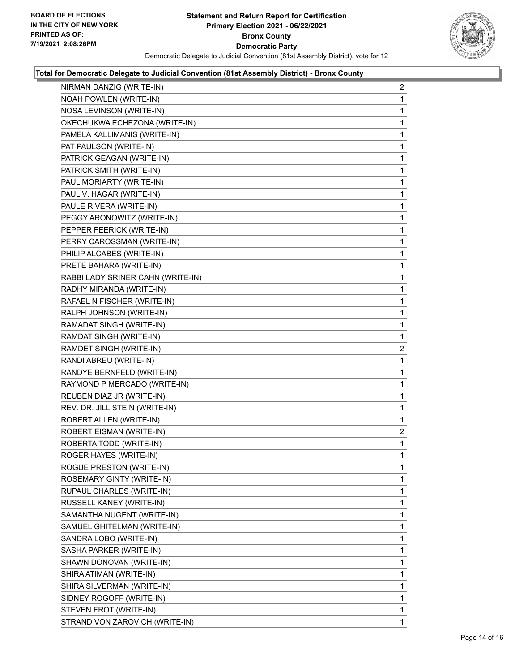

| NIRMAN DANZIG (WRITE-IN)          | $\overline{a}$ |
|-----------------------------------|----------------|
| NOAH POWLEN (WRITE-IN)            | 1              |
| NOSA LEVINSON (WRITE-IN)          | 1              |
| OKECHUKWA ECHEZONA (WRITE-IN)     | 1              |
| PAMELA KALLIMANIS (WRITE-IN)      | 1              |
| PAT PAULSON (WRITE-IN)            | 1              |
| PATRICK GEAGAN (WRITE-IN)         | 1              |
| PATRICK SMITH (WRITE-IN)          | $\mathbf{1}$   |
| PAUL MORIARTY (WRITE-IN)          | 1              |
| PAUL V. HAGAR (WRITE-IN)          | 1              |
| PAULE RIVERA (WRITE-IN)           | 1              |
| PEGGY ARONOWITZ (WRITE-IN)        | 1              |
| PEPPER FEERICK (WRITE-IN)         | 1              |
| PERRY CAROSSMAN (WRITE-IN)        | $\mathbf{1}$   |
| PHILIP ALCABES (WRITE-IN)         | 1              |
| PRETE BAHARA (WRITE-IN)           | 1              |
| RABBI LADY SRINER CAHN (WRITE-IN) | 1              |
| RADHY MIRANDA (WRITE-IN)          | 1              |
| RAFAEL N FISCHER (WRITE-IN)       | 1              |
| RALPH JOHNSON (WRITE-IN)          | 1              |
| RAMADAT SINGH (WRITE-IN)          | 1              |
| RAMDAT SINGH (WRITE-IN)           | 1              |
| RAMDET SINGH (WRITE-IN)           | $\overline{2}$ |
| RANDI ABREU (WRITE-IN)            | 1              |
| RANDYE BERNFELD (WRITE-IN)        | 1              |
| RAYMOND P MERCADO (WRITE-IN)      | 1              |
| REUBEN DIAZ JR (WRITE-IN)         | 1              |
| REV. DR. JILL STEIN (WRITE-IN)    | 1              |
| ROBERT ALLEN (WRITE-IN)           | 1              |
| ROBERT EISMAN (WRITE-IN)          | $\overline{c}$ |
| ROBERTA TODD (WRITE-IN)           | 1              |
| ROGER HAYES (WRITE-IN)            | 1              |
| ROGUE PRESTON (WRITE-IN)          | 1              |
| ROSEMARY GINTY (WRITE-IN)         | 1              |
| RUPAUL CHARLES (WRITE-IN)         | 1              |
| RUSSELL KANEY (WRITE-IN)          | 1              |
| SAMANTHA NUGENT (WRITE-IN)        | 1              |
| SAMUEL GHITELMAN (WRITE-IN)       | 1              |
| SANDRA LOBO (WRITE-IN)            | 1              |
| SASHA PARKER (WRITE-IN)           | 1              |
| SHAWN DONOVAN (WRITE-IN)          | 1              |
| SHIRA ATIMAN (WRITE-IN)           | 1              |
| SHIRA SILVERMAN (WRITE-IN)        | 1              |
| SIDNEY ROGOFF (WRITE-IN)          | 1              |
| STEVEN FROT (WRITE-IN)            | 1              |
| STRAND VON ZAROVICH (WRITE-IN)    | 1              |
|                                   |                |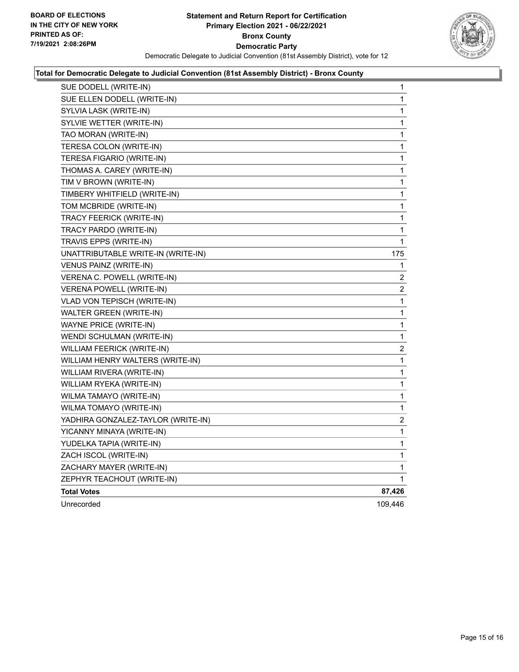

| SUE DODELL (WRITE-IN)              | 1              |
|------------------------------------|----------------|
| SUE ELLEN DODELL (WRITE-IN)        | 1              |
| SYLVIA LASK (WRITE-IN)             | 1              |
| SYLVIE WETTER (WRITE-IN)           | 1              |
| TAO MORAN (WRITE-IN)               | 1              |
| TERESA COLON (WRITE-IN)            | 1              |
| TERESA FIGARIO (WRITE-IN)          | 1              |
| THOMAS A. CAREY (WRITE-IN)         | 1              |
| TIM V BROWN (WRITE-IN)             | 1              |
| TIMBERY WHITFIELD (WRITE-IN)       | 1              |
| TOM MCBRIDE (WRITE-IN)             | 1              |
| TRACY FEERICK (WRITE-IN)           | 1              |
| TRACY PARDO (WRITE-IN)             | 1              |
| TRAVIS EPPS (WRITE-IN)             | 1              |
| UNATTRIBUTABLE WRITE-IN (WRITE-IN) | 175            |
| VENUS PAINZ (WRITE-IN)             | 1              |
| VERENA C. POWELL (WRITE-IN)        | 2              |
| <b>VERENA POWELL (WRITE-IN)</b>    | $\overline{c}$ |
| VLAD VON TEPISCH (WRITE-IN)        | 1              |
| WALTER GREEN (WRITE-IN)            | 1              |
| WAYNE PRICE (WRITE-IN)             | 1              |
| WENDI SCHULMAN (WRITE-IN)          | 1              |
| WILLIAM FEERICK (WRITE-IN)         | 2              |
| WILLIAM HENRY WALTERS (WRITE-IN)   | 1              |
| WILLIAM RIVERA (WRITE-IN)          | 1              |
| WILLIAM RYEKA (WRITE-IN)           | 1              |
| WILMA TAMAYO (WRITE-IN)            | 1              |
| WILMA TOMAYO (WRITE-IN)            | 1              |
| YADHIRA GONZALEZ-TAYLOR (WRITE-IN) | $\overline{c}$ |
| YICANNY MINAYA (WRITE-IN)          | 1              |
| YUDELKA TAPIA (WRITE-IN)           | 1              |
| ZACH ISCOL (WRITE-IN)              | 1              |
| ZACHARY MAYER (WRITE-IN)           | 1              |
| ZEPHYR TEACHOUT (WRITE-IN)         | 1              |
| <b>Total Votes</b>                 | 87,426         |
| Unrecorded                         | 109,446        |